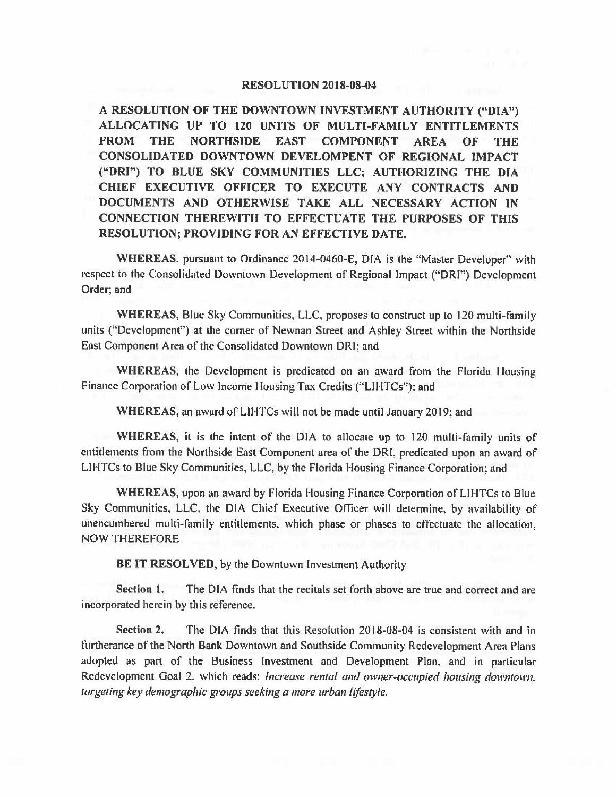## **RESOLUTION 2018-08-04**

**A RESOLUTION OF THE DOWNTOWN INVESTMENT AUTHORITY ("DIA")**  ALLOCATING UP TO 120 UNITS OF MULTI-FAMILY ENTITLEMENTS **FROM THE NORTHSIDE EAST COMPONENT AREA OF THE CONSOLIDATED DOWNTOWN DEVELOMPENT OF REGIONAL IMPACT ("DRI") TO BLUE SKY COMMUNITIES LLC; AUTHORIZING THE DIA CHIEF EXECUTIVE OFFICER TO EXECUTE ANY CONTRACTS AND DOCUMENTS AND OTHERWISE TAKE ALL NECESSARY ACTION IN CONNECTION THEREWITH TO EFFECTUATE THE PURPOSES OF THIS RESOLUTION; PROVIDING FOR AN EFFECTIVE DATE.** 

**WHEREAS,** pursuant to Ordinance 2014-0460-E, DIA is the "Master Developer" with respect to the Consolidated Downtown Development of Regional Impact ("ORI") Development Order; and

**WHEREAS,** Blue Sky Communities, LLC, proposes to construct up to 120 multi-family units ("Development") at the comer of Newnan Street and Ashley Street within the Northside East Component Area of the Consolidated Downtown ORI; and

**WHEREAS,** the Development is predicated on an award from the Florida Housing Finance Corporation of Low Income Housing Tax Credits ("LIHTCs"); and

**WHEREAS,** an award of LIHTCs will not be made until January 2019; and

**WHEREAS,** it is the intent of the DIA to allocate up to 120 multi-family units of entitlements from the Northside East Component area of the ORI, predicated upon an award of LIHTCs to Blue Sky Communities, LLC, by the Florida Housing Finance Corporation; and

**WHEREAS,** upon an award by Florida Housing Finance Corporation of LIHTCs to Blue Sky Communities, LLC, the DIA Chief Executive Officer will determine, by availability of unencumbered multi-family entitlements, which phase or phases to effectuate the allocation, NOW THEREFORE

**BE IT RESOLVED,** by the Downtown Investment Authority

**Section 1.** The DIA finds that the recitals set forth above are true and correct and are incorporated herein by this reference.

**Section** 2. The DIA finds that this Resolution 2018-08-04 is consistent with and in furtherance of the North Bank Downtown and Southside Community Redevelopment Area Plans adopted as part of the Business Investment and Development Plan, and in particular Redevelopment Goal 2, which reads: *Increase rental and owner-occupied housing downtown, targeting key demographic groups seeking a more urban lifestyle.*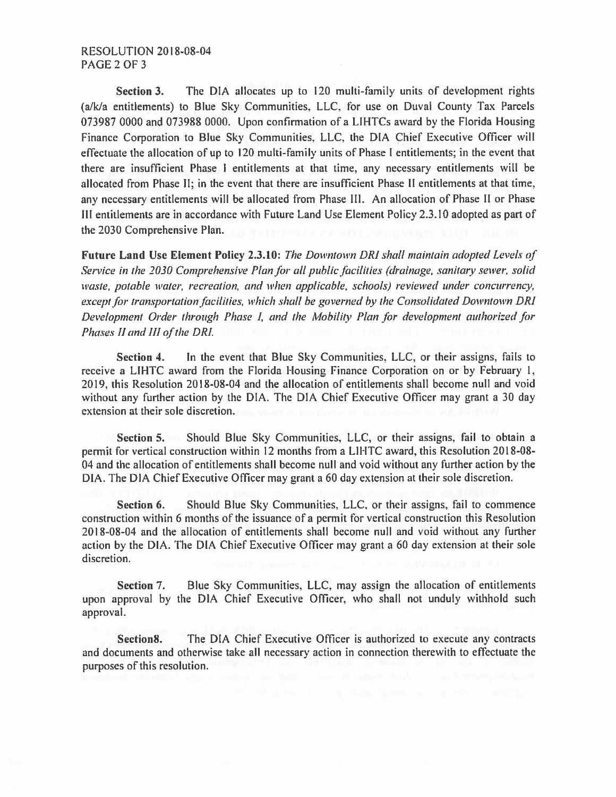**Section 3.** The DIA allocates up to 120 multi-family units of development rights (a/k/a entitlements) to Blue Sky Communities, LLC, for use on Duval County Tax Parcels 073987 0000 and 073988 0000. Upon confinnation of a LIHTCs award by the Florida Housing Finance Corporation to Blue Sky Communities, LLC, the DIA Chief Executive Officer will effectuate the allocation of up to 120 multi-family units of Phase I entitlements; in the event that there are insufficient Phase I entitlements at that time, any necessary entitlements will be allocated from Phase II; in the event that there are insufficient Phase II entitlements at that time, any necessary entitlements will be allocated from Phase Ill. An allocation of Phase II or Phase III entitlements are in accordance with Future Land Use Element Policy 2.3.10 adopted as part of the 2030 Comprehensive Plan.

**Future Land Use Element Policy 2.3.10:** *The Downtown DR! shall maintain adopted Levels of Service in the 2030 Comprehensive Plan for all public facilities (drainage, sanitary sewer, solid waste, potable water, recreation, and when applicable, schools) reviewed under concurrency, except for transportation facilities, which shall be governed by the Consolidated Downtown DRI Development Order through Phase I, and the Mobility Plan for development authorized for Phases 11 and 111 of the DR!.* 

**Section 4.** In the event that Blue Sky Communities, LLC, or their assigns, fails to receive a LIHTC award from the Florida Housing Finance Corporation on or by February I, 2019, this Resolution 2018-08-04 and the allocation of entitlements shall become null and void without any further action by the DIA. The DIA Chief Executive Officer may grant a 30 day extension at their sole discretion.

**Section 5.** Should Blue Sky Communities, LLC, or their assigns, fail to obtain a permit for vertical construction within 12 months from a LIHTC award, this Resolution 2018-08-04 and the allocation of entitlements shall become null and void without any further action by the DIA. The DIA Chief Executive Officer may grant a 60 day extension at their sole discretion.

**Section 6.** Should Blue Sky Communities, LLC, or their assigns, fail to commence construction within 6 months of the issuance of a permit for vertical construction this Resolution 2018-08-04 and the allocation of entitlements shall become null and void without any further action by the DIA. The DIA Chief Executive Officer may grant a 60 day extension at their sole discretion.

**Section** 7. Blue Sky Communities, LLC, may assign the allocation of entitlements upon approval by the DIA Chief Executive Officer, who shall not unduly withhold such approval.

**Section8.** The DIA Chief Executive Officer is authorized to execute any contracts and documents and otherwise take all necessary action in connection therewith to effectuate the purposes of this resolution.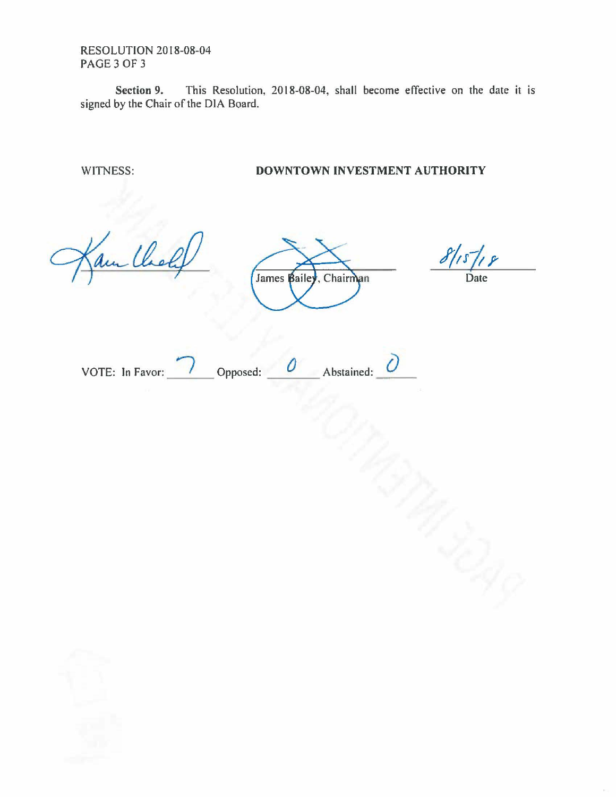RESOLUTION 2018-08-04 PAGE3 OF 3

**Section 9.** This Resolution, 2018-08-04, shall become effective on the date it is signed by the Chair of the DIA Board.

WITNESS: **DOWNTOWN INVESTMENT AUTHORITY** 

am

James Bailey, Chairman

Date

VOTE: In Favor:  $\overline{\smash{\big)}\,}$  Opposed:  $\overline{\smash{\big)}\,}$  Abstained: